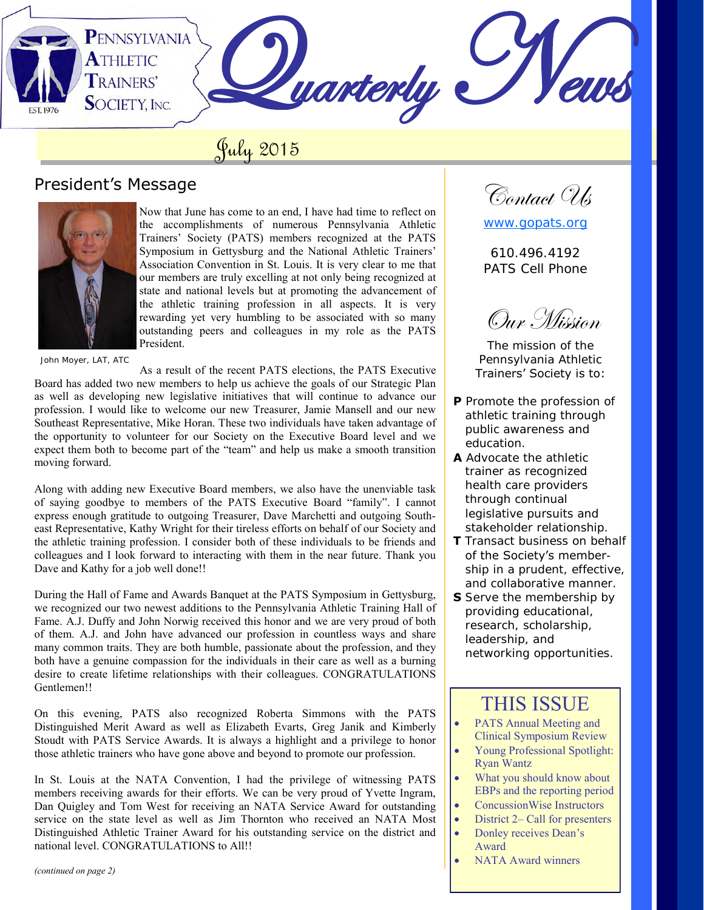PENNSYLVANIA **ATHLETIC Juarterly TRAINERS' SOCIETY, INC.** 

# July 2015

## President's Message



Now that June has come to an end, I have had time to reflect on the accomplishments of numerous Pennsylvania Athletic Trainers' Society (PATS) members recognized at the PATS Symposium in Gettysburg and the National Athletic Trainers' Association Convention in St. Louis. It is very clear to me that our members are truly excelling at not only being recognized at state and national levels but at promoting the advancement of the athletic training profession in all aspects. It is very rewarding yet very humbling to be associated with so many outstanding peers and colleagues in my role as the PATS President.

John Moyer, LAT, ATC

As a result of the recent PATS elections, the PATS Executive Board has added two new members to help us achieve the goals of our Strategic Plan as well as developing new legislative initiatives that will continue to advance our profession. I would like to welcome our new Treasurer, Jamie Mansell and our new Southeast Representative, Mike Horan. These two individuals have taken advantage of the opportunity to volunteer for our Society on the Executive Board level and we expect them both to become part of the "team" and help us make a smooth transition moving forward.

Along with adding new Executive Board members, we also have the unenviable task of saying goodbye to members of the PATS Executive Board "family". I cannot express enough gratitude to outgoing Treasurer, Dave Marchetti and outgoing Southeast Representative, Kathy Wright for their tireless efforts on behalf of our Society and the athletic training profession. I consider both of these individuals to be friends and colleagues and I look forward to interacting with them in the near future. Thank you Dave and Kathy for a job well done!!

During the Hall of Fame and Awards Banquet at the PATS Symposium in Gettysburg, we recognized our two newest additions to the Pennsylvania Athletic Training Hall of Fame. A.J. Duffy and John Norwig received this honor and we are very proud of both of them. A.J. and John have advanced our profession in countless ways and share many common traits. They are both humble, passionate about the profession, and they both have a genuine compassion for the individuals in their care as well as a burning desire to create lifetime relationships with their colleagues. CONGRATULATIONS Gentlemen!!

On this evening, PATS also recognized Roberta Simmons with the PATS Distinguished Merit Award as well as Elizabeth Evarts, Greg Janik and Kimberly Stoudt with PATS Service Awards. It is always a highlight and a privilege to honor those athletic trainers who have gone above and beyond to promote our profession.

In St. Louis at the NATA Convention, I had the privilege of witnessing PATS members receiving awards for their efforts. We can be very proud of Yvette Ingram, Dan Quigley and Tom West for receiving an NATA Service Award for outstanding service on the state level as well as Jim Thornton who received an NATA Most Distinguished Athletic Trainer Award for his outstanding service on the district and national level. CONGRATULATIONS to All!!

*(continued on page 2)*

Contact Ols

[www.gopats.org](http://www.gopats.org/)

610.496.4192 PATS Cell Phone

Our Mission

The mission of the Pennsylvania Athletic Trainers' Society is to:

- **P** Promote the profession of athletic training through public awareness and education.
- **A** Advocate the athletic trainer as recognized health care providers through continual legislative pursuits and stakeholder relationship.
- **T** Transact business on behalf of the Society's member ship in a prudent, effective, and collaborative manner.
- **S** Serve the membership by providing educational, research, scholarship, leadership, and networking opportunities.

# THIS ISSUE

- PATS Annual Meeting and Clinical Symposium Review
- Young Professional Spotlight: Ryan Wantz
- What you should know about EBPs and the reporting period
- ConcussionWise Instructors
- District 2– Call for presenters
- Donley receives Dean's Award
- NATA Award winners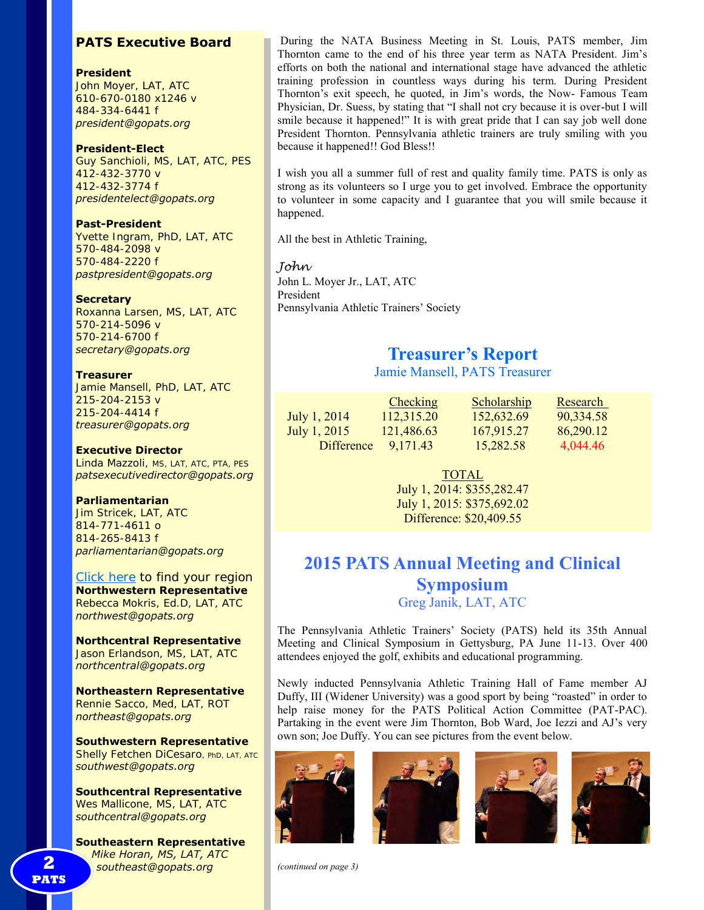#### **PATS Executive Board**

#### **President**

John Moyer, LAT, ATC 610-670-0180 x1246 v 484-334-6441 f *president@gopats.org* 

#### **President-Elect**

Guy Sanchioli, MS, LAT, ATC, PES 412-432-3770 v 412-432-3774 f *presidentelect@gopats.org* 

#### **Past-President**

Yvette Ingram, PhD, LAT, ATC 570-484-2098 v 570-484-2220 f *pastpresident@gopats.org* 

#### **Secretary**

Roxanna Larsen, MS, LAT, ATC 570-214-5096 v 570-214-6700 f *secretary@gopats.org* 

#### **Treasurer**

Jamie Mansell, PhD, LAT, ATC 215-204-2153 v 215-204-4414 f *treasurer@gopats.org* 

#### **Executive Director**

Linda Mazzoli, MS, LAT, ATC, PTA, PES *patsexecutivedirector@gopats.org* 

#### **Parliamentarian**

Jim Stricek, LAT, ATC 814-771-4611 o 814-265-8413 f *parliamentarian@gopats.org* 

[Click here t](http://www.gopats.org/governance/PATS-map.htm)o find your region **Northwestern Representative**  Rebecca Mokris, Ed.D, LAT, ATC *northwest@gopats.org* 

**Northcentral Representative**  Jason Erlandson, MS, LAT, ATC *northcentral@gopats.org* 

**Northeastern Representative**  Rennie Sacco, Med, LAT, ROT *northeast@gopats.org* 

**Southwestern Representative**  Shelly Fetchen DiCesaro, PhD, LAT, ATC *southwest@gopats.org* 

**Southcentral Representative**  Wes Mallicone, MS, LAT, ATC *southcentral@gopats.org* 

**Southeastern Representative**  *Mike Horan, MS, LAT, ATC* **2** *southeast@gopats.org* 

 During the NATA Business Meeting in St. Louis, PATS member, Jim Thornton came to the end of his three year term as NATA President. Jim's efforts on both the national and international stage have advanced the athletic training profession in countless ways during his term. During President Thornton's exit speech, he quoted, in Jim's words, the Now- Famous Team Physician, Dr. Suess, by stating that "I shall not cry because it is over-but I will smile because it happened!" It is with great pride that I can say job well done President Thornton. Pennsylvania athletic trainers are truly smiling with you because it happened!! God Bless!!

I wish you all a summer full of rest and quality family time. PATS is only as strong as its volunteers so I urge you to get involved. Embrace the opportunity to volunteer in some capacity and I guarantee that you will smile because it happened.

All the best in Athletic Training,

#### *John*  John L. Moyer Jr., LAT, ATC President Pennsylvania Athletic Trainers' Society

## **Treasurer's Report**

Jamie Mansell, PATS Treasurer

|              | <b>Checking</b> | <b>Scholarship</b> | Research  |
|--------------|-----------------|--------------------|-----------|
| July 1, 2014 | 112,315.20      | 152,632.69         | 90,334.58 |
| July 1, 2015 | 121,486.63      | 167.915.27         | 86,290.12 |
| Difference   | 9.171.43        | 15.282.58          | 4.044.46  |

TOTAL July 1, 2014: \$355,282.47 July 1, 2015: \$375,692.02

Difference: \$20,409.55

## **2015 PATS Annual Meeting and Clinical Symposium**

Greg Janik, LAT, ATC

The Pennsylvania Athletic Trainers' Society (PATS) held its 35th Annual Meeting and Clinical Symposium in Gettysburg, PA June 11-13. Over 400 attendees enjoyed the golf, exhibits and educational programming.

Newly inducted Pennsylvania Athletic Training Hall of Fame member AJ Duffy, III (Widener University) was a good sport by being "roasted" in order to help raise money for the PATS Political Action Committee (PAT-PAC). Partaking in the event were Jim Thornton, Bob Ward, Joe Iezzi and AJ's very own son; Joe Duffy. You can see pictures from the event below.





*(continued on page 3)*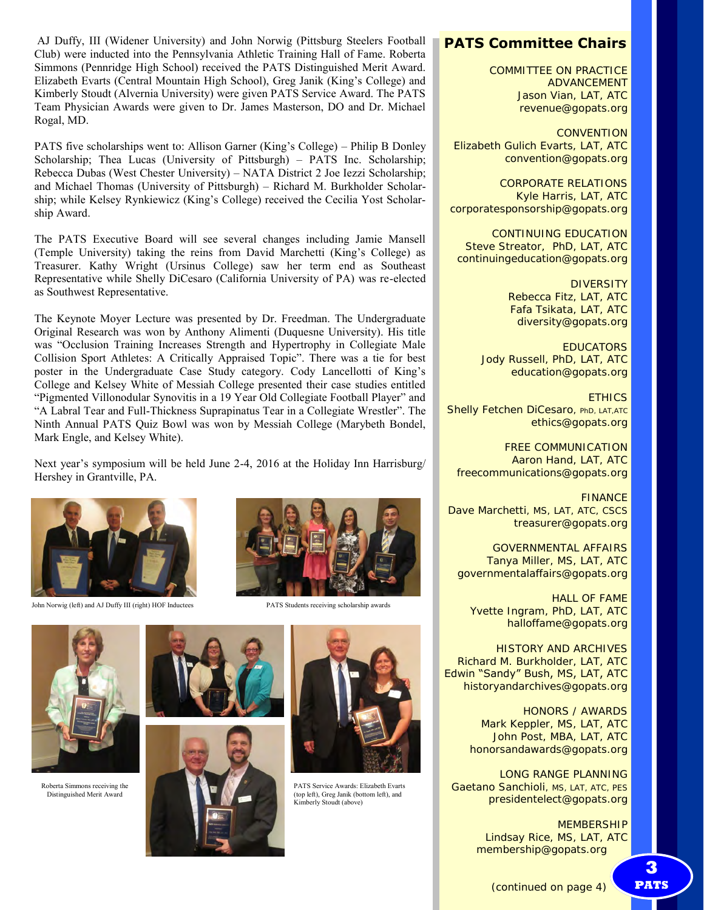AJ Duffy, III (Widener University) and John Norwig (Pittsburg Steelers Football Club) were inducted into the Pennsylvania Athletic Training Hall of Fame. Roberta Simmons (Pennridge High School) received the PATS Distinguished Merit Award. Elizabeth Evarts (Central Mountain High School), Greg Janik (King's College) and Kimberly Stoudt (Alvernia University) were given PATS Service Award. The PATS Team Physician Awards were given to Dr. James Masterson, DO and Dr. Michael Rogal, MD.

PATS five scholarships went to: Allison Garner (King's College) – Philip B Donley Scholarship; Thea Lucas (University of Pittsburgh) – PATS Inc. Scholarship; Rebecca Dubas (West Chester University) – NATA District 2 Joe Iezzi Scholarship; and Michael Thomas (University of Pittsburgh) – Richard M. Burkholder Scholarship; while Kelsey Rynkiewicz (King's College) received the Cecilia Yost Scholarship Award.

The PATS Executive Board will see several changes including Jamie Mansell (Temple University) taking the reins from David Marchetti (King's College) as Treasurer. Kathy Wright (Ursinus College) saw her term end as Southeast Representative while Shelly DiCesaro (California University of PA) was re-elected as Southwest Representative.

The Keynote Moyer Lecture was presented by Dr. Freedman. The Undergraduate Original Research was won by Anthony Alimenti (Duquesne University). His title was "Occlusion Training Increases Strength and Hypertrophy in Collegiate Male Collision Sport Athletes: A Critically Appraised Topic". There was a tie for best poster in the Undergraduate Case Study category. Cody Lancellotti of King's College and Kelsey White of Messiah College presented their case studies entitled "Pigmented Villonodular Synovitis in a 19 Year Old Collegiate Football Player" and "A Labral Tear and Full-Thickness Suprapinatus Tear in a Collegiate Wrestler". The Ninth Annual PATS Quiz Bowl was won by Messiah College (Marybeth Bondel, Mark Engle, and Kelsey White).

Next year's symposium will be held June 2-4, 2016 at the Holiday Inn Harrisburg/ Hershey in Grantville, PA.



John Norwig (left) and AJ Duffy III (right) HOF Inductees PATS Students receiving scholarship awards



PATS Service Awards: Elizabeth Evarts (top left), Greg Janik (bottom left), and Kimberly Stoudt (above)



Roberta Simmons receiving the Distinguished Merit Award







COMMITTEE ON PRACTICE ADVANCEMENT Jason Vian, LAT, ATC revenue@gopats.org

**CONVENTION** Elizabeth Gulich Evarts, LAT, ATC convention@gopats.org

CORPORATE RELATIONS Kyle Harris, LAT, ATC corporatesponsorship@gopats.org

CONTINUING EDUCATION Steve Streator, PhD, LAT, ATC continuingeducation@gopats.org

> **DIVERSITY** Rebecca Fitz, LAT, ATC Fafa Tsikata, LAT, ATC diversity@gopats.org

EDUCATORS Jody Russell, PhD, LAT, ATC education@gopats.org

**FTHICS** Shelly Fetchen DiCesaro, PhD, LAT, ATC ethics@gopats.org

FREE COMMUNICATION Aaron Hand, LAT, ATC freecommunications@gopats.org

FINANCE Dave Marchetti, MS, LAT, ATC, CSCS treasurer@gopats.org

GOVERNMENTAL AFFAIRS Tanya Miller, MS, LAT, ATC governmentalaffairs@gopats.org

HALL OF FAME Yvette Ingram, PhD, LAT, ATC halloffame@gopats.org

HISTORY AND ARCHIVES Richard M. Burkholder, LAT, ATC Edwin "Sandy" Bush, MS, LAT, ATC historyandarchives@gopats.org

> HONORS / AWARDS Mark Keppler, MS, LAT, ATC John Post, MBA, LAT, ATC honorsandawards@gopats.org

LONG RANGE PLANNING Gaetano Sanchioli, MS, LAT, ATC, PES presidentelect@gopats.org

> **MEMBERSHIP** Lindsay Rice, MS, LAT, ATC membership@gopats.org

> > (continued on page 4)

**3 PATS**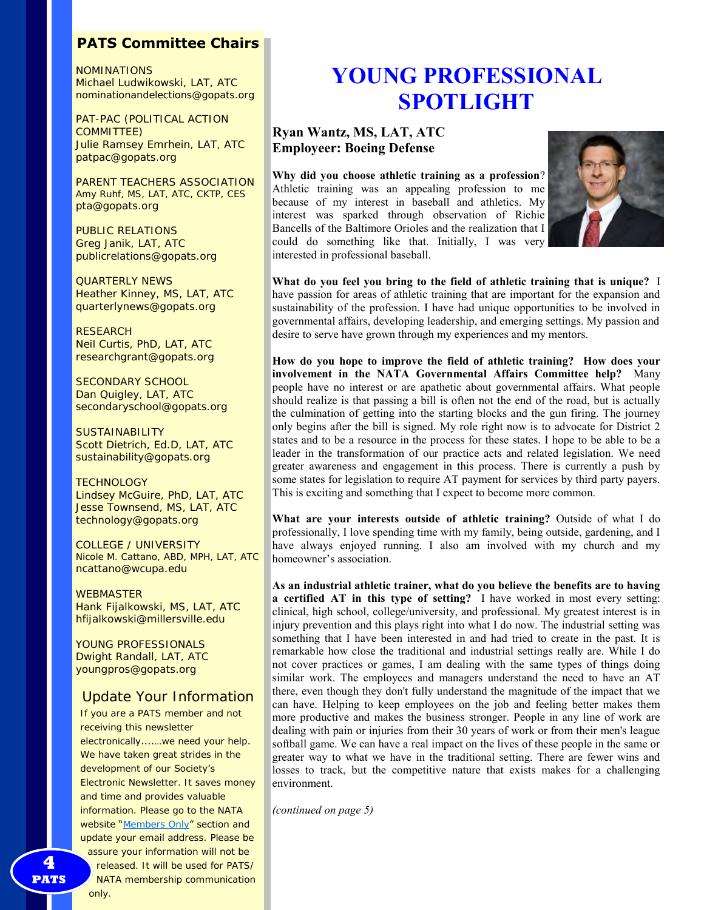#### **PATS Committee Chairs**

NOMINATIONS Michael Ludwikowski, LAT, ATC nominationandelections@gopats.org

PAT-PAC (POLITICAL ACTION COMMITTEE) Julie Ramsey Emrhein, LAT, ATC patpac@gopats.org

PARENT TEACHERS ASSOCIATION Amy Ruhf, MS, LAT, ATC, CKTP, CES pta@gopats.org

PUBLIC RELATIONS Greg Janik, LAT, ATC publicrelations@gopats.org

QUARTERLY NEWS Heather Kinney, MS, LAT, ATC quarterlynews@gopats.org

**RESEARCH** Neil Curtis, PhD, LAT, ATC researchgrant@gopats.org

SECONDARY SCHOOL Dan Quigley, LAT, ATC secondaryschool@gopats.org

**SUSTAINABILITY** Scott Dietrich, Ed.D, LAT, ATC sustainability@gopats.org

**TECHNOLOGY** Lindsey McGuire, PhD, LAT, ATC Jesse Townsend, MS, LAT, ATC technology@gopats.org

COLLEGE / UNIVERSITY Nicole M. Cattano, ABD, MPH, LAT, ATC ncattano@wcupa.edu

**WEBMASTER** Hank Fijalkowski, MS, LAT, ATC hfijalkowski@millersville.edu

YOUNG PROFESSIONALS Dwight Randall, LAT, ATC youngpros@gopats.org

#### Update Your Information

If you are a PATS member and not receiving this newsletter electronically....…we need your help. We have taken great strides in the development of our Society's Electronic Newsletter. It saves money and time and provides valuable information. Please go to the NATA website "[Members Only](http://www.gopats.org/members/members.htm)" section and update your email address. Please be assure your information will not be released. It will be used for PATS/

NATA membership communication only.

# **SPOTLIGHT**

#### **Ryan Wantz, MS, LAT, ATC Employeer: Boeing Defense**

**Why did you choose athletic training as a profession**? Athletic training was an appealing profession to me because of my interest in baseball and athletics. My interest was sparked through observation of Richie Bancells of the Baltimore Orioles and the realization that I could do something like that. Initially, I was very interested in professional baseball.



**What do you feel you bring to the field of athletic training that is unique?** I have passion for areas of athletic training that are important for the expansion and sustainability of the profession. I have had unique opportunities to be involved in governmental affairs, developing leadership, and emerging settings. My passion and desire to serve have grown through my experiences and my mentors.

**How do you hope to improve the field of athletic training? How does your involvement in the NATA Governmental Affairs Committee help?** Many people have no interest or are apathetic about governmental affairs. What people should realize is that passing a bill is often not the end of the road, but is actually the culmination of getting into the starting blocks and the gun firing. The journey only begins after the bill is signed. My role right now is to advocate for District 2 states and to be a resource in the process for these states. I hope to be able to be a leader in the transformation of our practice acts and related legislation. We need greater awareness and engagement in this process. There is currently a push by some states for legislation to require AT payment for services by third party payers. This is exciting and something that I expect to become more common.

**What are your interests outside of athletic training?** Outside of what I do professionally, I love spending time with my family, being outside, gardening, and I have always enjoyed running. I also am involved with my church and my homeowner's association.

**4**YOU SATE AT AT  $\alpha$  **EVERTHERE AND ARROWSED CONFIDENT CONFIDENT**<br>
4 **YOU SATE AT AT A AT A BUT AND MAIL ANS LATER THE METALL SET AND MAIL AND SET AND THE SET AND MAIL AND SET AND MAIL AND SET AND MAIL AND SET AND MANUS As an industrial athletic trainer, what do you believe the benefits are to having a certified AT in this type of setting?** I have worked in most every setting: clinical, high school, college/university, and professional. My greatest interest is in injury prevention and this plays right into what I do now. The industrial setting was something that I have been interested in and had tried to create in the past. It is remarkable how close the traditional and industrial settings really are. While I do not cover practices or games, I am dealing with the same types of things doing similar work. The employees and managers understand the need to have an AT there, even though they don't fully understand the magnitude of the impact that we can have. Helping to keep employees on the job and feeling better makes them more productive and makes the business stronger. People in any line of work are dealing with pain or injuries from their 30 years of work or from their men's league softball game. We can have a real impact on the lives of these people in the same or greater way to what we have in the traditional setting. There are fewer wins and losses to track, but the competitive nature that exists makes for a challenging environment.

*(continued on page 5)*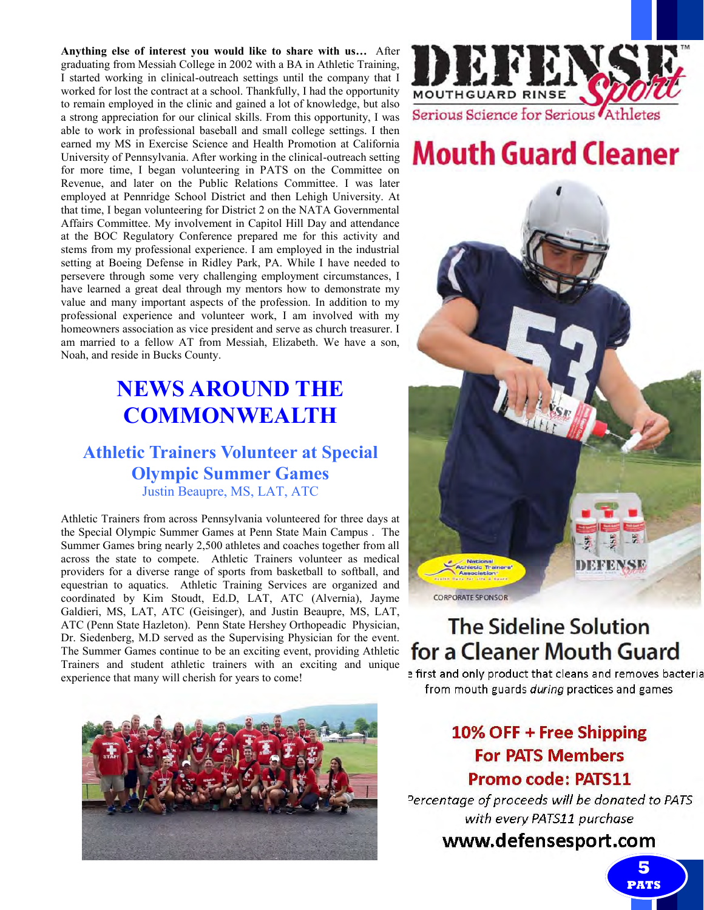**Anything else of interest you would like to share with us…** After graduating from Messiah College in 2002 with a BA in Athletic Training, I started working in clinical-outreach settings until the company that I worked for lost the contract at a school. Thankfully, I had the opportunity to remain employed in the clinic and gained a lot of knowledge, but also a strong appreciation for our clinical skills. From this opportunity, I was able to work in professional baseball and small college settings. I then earned my MS in Exercise Science and Health Promotion at California University of Pennsylvania. After working in the clinical-outreach setting for more time, I began volunteering in PATS on the Committee on Revenue, and later on the Public Relations Committee. I was later employed at Pennridge School District and then Lehigh University. At that time, I began volunteering for District 2 on the NATA Governmental Affairs Committee. My involvement in Capitol Hill Day and attendance at the BOC Regulatory Conference prepared me for this activity and stems from my professional experience. I am employed in the industrial setting at Boeing Defense in Ridley Park, PA. While I have needed to persevere through some very challenging employment circumstances, I have learned a great deal through my mentors how to demonstrate my value and many important aspects of the profession. In addition to my professional experience and volunteer work, I am involved with my homeowners association as vice president and serve as church treasurer. I am married to a fellow AT from Messiah, Elizabeth. We have a son, Noah, and reside in Bucks County.

# **NEWS AROUND THE COMMONWEALTH**

## **Athletic Trainers Volunteer at Special Olympic Summer Games** Justin Beaupre, MS, LAT, ATC

Athletic Trainers from across Pennsylvania volunteered for three days at the Special Olympic Summer Games at Penn State Main Campus . The Summer Games bring nearly 2,500 athletes and coaches together from all across the state to compete. Athletic Trainers volunteer as medical providers for a diverse range of sports from basketball to softball, and equestrian to aquatics. Athletic Training Services are organized and coordinated by Kim Stoudt, Ed.D, LAT, ATC (Alvernia), Jayme Galdieri, MS, LAT, ATC (Geisinger), and Justin Beaupre, MS, LAT, ATC (Penn State Hazleton). Penn State Hershey Orthopeadic Physician, Dr. Siedenberg, M.D served as the Supervising Physician for the event. The Summer Games continue to be an exciting event, providing Athletic Trainers and student athletic trainers with an exciting and unique experience that many will cherish for years to come!





# **Mouth Guard Cleaner**



# **The Sideline Solution** for a Cleaner Mouth Guard

a first and only product that cleans and removes bacteria from mouth guards during practices and games

## 10% OFF + Free Shipping **For PATS Members Promo code: PATS11**

Percentage of proceeds will be donated to PATS with every PATS11 purchase

## www.defensesport.com

**5 PATS**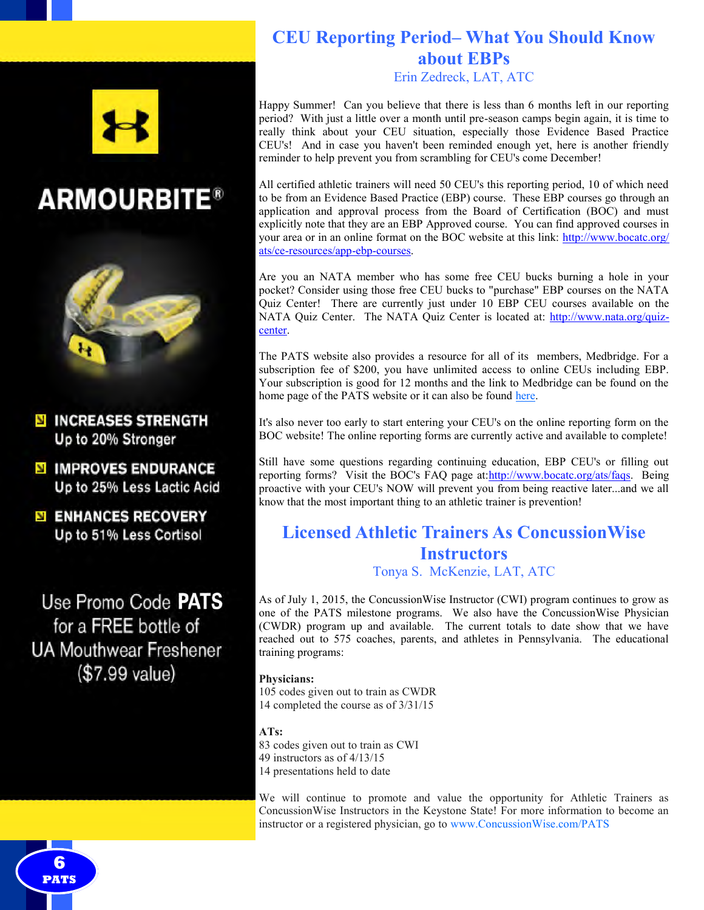





**N INCREASES STRENGTH** Up to 20% Stronger

**N IMPROVES ENDURANCE** Up to 25% Less Lactic Acid

**ENHANCES RECOVERY** Up to 51% Less Cortisol

Use Promo Code PATS for a FREE bottle of **UA Mouthwear Freshener** (\$7.99 value)

**6 PATS** 

### **CEU Reporting Period– What You Should Know about EBPs** Erin Zedreck, LAT, ATC

Happy Summer! Can you believe that there is less than 6 months left in our reporting period? With just a little over a month until pre-season camps begin again, it is time to really think about your CEU situation, especially those Evidence Based Practice CEU's! And in case you haven't been reminded enough yet, here is another friendly reminder to help prevent you from scrambling for CEU's come December!

All certified athletic trainers will need 50 CEU's this reporting period, 10 of which need to be from an Evidence Based Practice (EBP) course. These EBP courses go through an application and approval process from the Board of Certification (BOC) and must explicitly note that they are an EBP Approved course. You can find approved courses in your area or in an online format on the BOC website at this link: [http://www.bocatc.org/](https://mail.upmc.edu/owa/redir.aspx?SURL=EsRgDqswMqAAjMnbOVMrwyshEEEU24PLL0n6oxulCM67mRl_G4nSCGgAdAB0AHAAOgAvAC8AdwB3AHcALgBiAG8AYwBhAHQAYwAuAG8AcgBnAC8AYQB0AHMALwBjAGUALQByAGUAcwBvAHUAcgBjAGUAcwAvAGEAcABwAC0AZQBiAHAALQBjAG8AdQByAHMAZQBzAA..&URL=http%3a%2f%2) ats/ce-[resources/app](https://mail.upmc.edu/owa/redir.aspx?SURL=EsRgDqswMqAAjMnbOVMrwyshEEEU24PLL0n6oxulCM67mRl_G4nSCGgAdAB0AHAAOgAvAC8AdwB3AHcALgBiAG8AYwBhAHQAYwAuAG8AcgBnAC8AYQB0AHMALwBjAGUALQByAGUAcwBvAHUAcgBjAGUAcwAvAGEAcABwAC0AZQBiAHAALQBjAG8AdQByAHMAZQBzAA..&URL=http%3a%2f%2)-ebp-courses.

Are you an NATA member who has some free CEU bucks burning a hole in your pocket? Consider using those free CEU bucks to "purchase" EBP courses on the NATA Quiz Center! There are currently just under 10 EBP CEU courses available on the NATA Quiz Center. The NATA Quiz Center is located at: [http://www.nata.org/quiz](https://mail.upmc.edu/owa/redir.aspx?SURL=AdjkEHCAuGWMmArMD2Wv0FyYmUD5VEdl7RMG2iomgapy-xt_G4nSCGgAdAB0AHAAOgAvAC8AdwB3AHcALgBuAGEAdABhAC4AbwByAGcALwBxAHUAaQB6AC0AYwBlAG4AdABlAHIA&URL=http%3a%2f%2fwww.nata.org%2fquiz-center)[center.](https://mail.upmc.edu/owa/redir.aspx?SURL=AdjkEHCAuGWMmArMD2Wv0FyYmUD5VEdl7RMG2iomgapy-xt_G4nSCGgAdAB0AHAAOgAvAC8AdwB3AHcALgBuAGEAdABhAC4AbwByAGcALwBxAHUAaQB6AC0AYwBlAG4AdABlAHIA&URL=http%3a%2f%2fwww.nata.org%2fquiz-center)

The PATS website also provides a resource for all of its members, Medbridge. For a subscription fee of \$200, you have unlimited access to online CEUs including EBP. Your subscription is good for 12 months and the link to Medbridge can be found on the home page of the PATS website or it can also be found [here.](https://www.medbridgeeducation.com/)

It's also never too early to start entering your CEU's on the online reporting form on the BOC website! The online reporting forms are currently active and available to complete!

Still have some questions regarding continuing education, EBP CEU's or filling out reporting forms? Visit the BOC's FAQ page at[:http://www.bocatc.org/ats/faqs.](https://mail.upmc.edu/owa/redir.aspx?SURL=MgCI0R_dMAq6EFfs--5HUBndCvSTGEP6UXW0OjS1XW9y-xt_G4nSCGgAdAB0AHAAOgAvAC8AdwB3AHcALgBiAG8AYwBhAHQAYwAuAG8AcgBnAC8AYQB0AHMALwBmAGEAcQBzAA..&URL=http%3a%2f%2fwww.bocatc.org%2fats%2ffaqs) Being proactive with your CEU's NOW will prevent you from being reactive later...and we all know that the most important thing to an athletic trainer is prevention!

## **Licensed Athletic Trainers As ConcussionWise Instructors** Tonya S. McKenzie, LAT, ATC

As of July 1, 2015, the ConcussionWise Instructor (CWI) program continues to grow as one of the PATS milestone programs. We also have the ConcussionWise Physician (CWDR) program up and available. The current totals to date show that we have reached out to 575 coaches, parents, and athletes in Pennsylvania. The educational training programs:

#### **Physicians:**

105 codes given out to train as CWDR 14 completed the course as of 3/31/15

#### **ATs:**

83 codes given out to train as CWI

49 instructors as of 4/13/15

14 presentations held to date

We will continue to promote and value the opportunity for Athletic Trainers as ConcussionWise Instructors in the Keystone State! For more information to become an instructor or a registered physician, go to www.ConcussionWise.com/PATS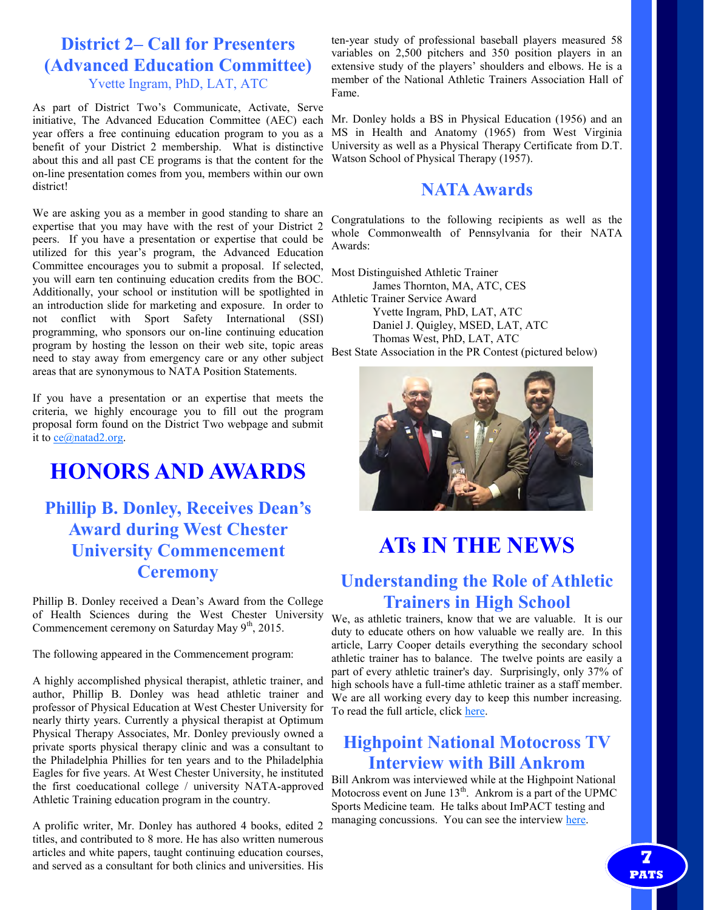## **District 2– Call for Presenters (Advanced Education Committee)** Yvette Ingram, PhD, LAT, ATC

As part of District Two's Communicate, Activate, Serve initiative, The Advanced Education Committee (AEC) each year offers a free continuing education program to you as a benefit of your District 2 membership. What is distinctive about this and all past CE programs is that the content for the on-line presentation comes from you, members within our own district!

We are asking you as a member in good standing to share an expertise that you may have with the rest of your District 2 peers. If you have a presentation or expertise that could be utilized for this year's program, the Advanced Education Committee encourages you to submit a proposal. If selected, you will earn ten continuing education credits from the BOC. Additionally, your school or institution will be spotlighted in an introduction slide for marketing and exposure. In order to not conflict with Sport Safety International (SSI) programming, who sponsors our on-line continuing education program by hosting the lesson on their web site, topic areas need to stay away from emergency care or any other subject areas that are synonymous to NATA Position Statements.

If you have a presentation or an expertise that meets the criteria, we highly encourage you to fill out the program proposal form found on the District Two webpage and submit it to [ce@natad2.org.](https://webmail3.web.com/src/compose.php?send_to=ce%40natad2.org)

# **HONORS AND AWARDS**

## **Phillip B. Donley, Receives Dean's Award during West Chester University Commencement Ceremony**

Phillip B. Donley received a Dean's Award from the College of Health Sciences during the West Chester University Commencement ceremony on Saturday May 9<sup>th</sup>, 2015.

The following appeared in the Commencement program:

A highly accomplished physical therapist, athletic trainer, and author, Phillip B. Donley was head athletic trainer and professor of Physical Education at West Chester University for nearly thirty years. Currently a physical therapist at Optimum Physical Therapy Associates, Mr. Donley previously owned a private sports physical therapy clinic and was a consultant to the Philadelphia Phillies for ten years and to the Philadelphia Eagles for five years. At West Chester University, he instituted the first coeducational college / university NATA-approved Athletic Training education program in the country.

A prolific writer, Mr. Donley has authored 4 books, edited 2 titles, and contributed to 8 more. He has also written numerous articles and white papers, taught continuing education courses, and served as a consultant for both clinics and universities. His

ten-year study of professional baseball players measured 58 variables on 2,500 pitchers and 350 position players in an extensive study of the players' shoulders and elbows. He is a member of the National Athletic Trainers Association Hall of Fame.

Mr. Donley holds a BS in Physical Education (1956) and an MS in Health and Anatomy (1965) from West Virginia University as well as a Physical Therapy Certificate from D.T. Watson School of Physical Therapy (1957).

## **NATA Awards**

Congratulations to the following recipients as well as the whole Commonwealth of Pennsylvania for their NATA Awards:

Most Distinguished Athletic Trainer James Thornton, MA, ATC, CES Athletic Trainer Service Award Yvette Ingram, PhD, LAT, ATC Daniel J. Quigley, MSED, LAT, ATC Thomas West, PhD, LAT, ATC Best State Association in the PR Contest (pictured below)



# **ATs IN THE NEWS**

## **Understanding the Role of Athletic Trainers in High School**

We, as athletic trainers, know that we are valuable. It is our duty to educate others on how valuable we really are. In this article, Larry Cooper details everything the secondary school athletic trainer has to balance. The twelve points are easily a part of every athletic trainer's day. Surprisingly, only 37% of high schools have a full-time athletic trainer as a staff member. We are all working every day to keep this number increasing. To read the full article, click [here.](http://www.athleticbusiness.com/high-school/understanding-the-roll-of-athletic-trainers-in-high-school-athletics.html#.VWd5vaM8KEY.facebook)

## **Highpoint National Motocross TV Interview with Bill Ankrom**

Bill Ankrom was interviewed while at the Highpoint National Motocross event on June  $13<sup>th</sup>$ . Ankrom is a part of the UPMC Sports Medicine team. He talks about ImPACT testing and managing concussions. You can see the interview [here.](http://mms.tveyes.com/PlaybackPortal.aspx?SavedEditID=4c871d6a-bec2-485e-95d3-a6f5d6ababfd)

> **7 PATS**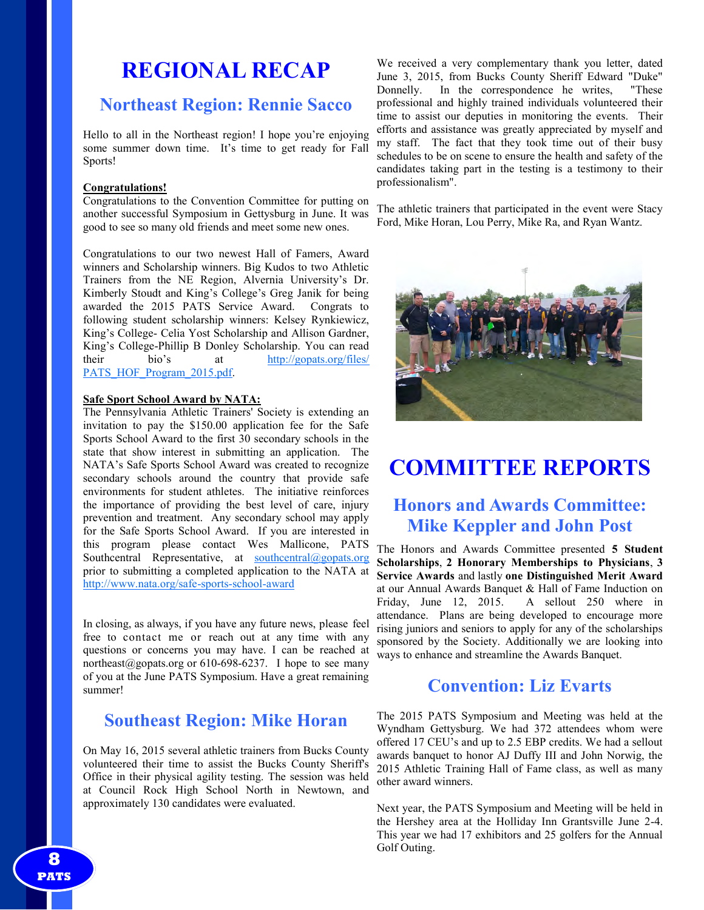# **REGIONAL RECAP**

## **Northeast Region: Rennie Sacco**

Hello to all in the Northeast region! I hope you're enjoying some summer down time. It's time to get ready for Fall Sports!

#### **Congratulations!**

Congratulations to the Convention Committee for putting on another successful Symposium in Gettysburg in June. It was good to see so many old friends and meet some new ones.

Congratulations to our two newest Hall of Famers, Award winners and Scholarship winners. Big Kudos to two Athletic Trainers from the NE Region, Alvernia University's Dr. Kimberly Stoudt and King's College's Greg Janik for being awarded the 2015 PATS Service Award. Congrats to following student scholarship winners: Kelsey Rynkiewicz, King's College- Celia Yost Scholarship and Allison Gardner, King's College-Phillip B Donley Scholarship. You can read their bio's at [http://gopats.org/files/](http://gopats.org/files/PATS_HOF_Program_2015.pdf) [PATS\\_HOF\\_Program\\_2015.pdf.](http://gopats.org/files/PATS_HOF_Program_2015.pdf)

#### **Safe Sport School Award by NATA:**

The Pennsylvania Athletic Trainers' Society is extending an invitation to pay the \$150.00 application fee for the Safe Sports School Award to the first 30 secondary schools in the state that show interest in submitting an application. The NATA's Safe Sports School Award was created to recognize secondary schools around the country that provide safe environments for student athletes. The initiative reinforces the importance of providing the best level of care, injury prevention and treatment. Any secondary school may apply for the Safe Sports School Award. If you are interested in this program please contact Wes Mallicone, PATS Southcentral Representative, at  $\frac{\text{southcentral}(a)\text{gopats.org}}{\text{Southcentral}(a)\text{gopats.org}}$ prior to submitting a completed application to the NATA at [http://www.nata.org/safe](http://www.nata.org/safe-sports-school-award)-sports-school-award

In closing, as always, if you have any future news, please feel free to contact me or reach out at any time with any questions or concerns you may have. I can be reached at northeast[@gopats.org](mailto:west@gopats.org) or 610-698-6237. I hope to see many of you at the June PATS Symposium. Have a great remaining summer!

## **Southeast Region: Mike Horan**

On May 16, 2015 several athletic trainers from Bucks County volunteered their time to assist the Bucks County Sheriff's Office in their physical agility testing. The session was held at Council Rock High School North in Newtown, and approximately 130 candidates were evaluated.

We received a very complementary thank you letter, dated June 3, 2015, from Bucks County Sheriff Edward "Duke" Donnelly. In the correspondence he writes, "These professional and highly trained individuals volunteered their time to assist our deputies in monitoring the events. Their efforts and assistance was greatly appreciated by myself and my staff. The fact that they took time out of their busy schedules to be on scene to ensure the health and safety of the candidates taking part in the testing is a testimony to their professionalism".

The athletic trainers that participated in the event were Stacy Ford, Mike Horan, Lou Perry, Mike Ra, and Ryan Wantz.



# **COMMITTEE REPORTS**

## **Honors and Awards Committee: Mike Keppler and John Post**

The Honors and Awards Committee presented **5 Student Scholarships**, **2 Honorary Memberships to Physicians**, **3 Service Awards** and lastly **one Distinguished Merit Award** at our Annual Awards Banquet & Hall of Fame Induction on Friday, June 12, 2015. A sellout 250 where in attendance. Plans are being developed to encourage more rising juniors and seniors to apply for any of the scholarships sponsored by the Society. Additionally we are looking into ways to enhance and streamline the Awards Banquet.

## **Convention: Liz Evarts**

The 2015 PATS Symposium and Meeting was held at the Wyndham Gettysburg. We had 372 attendees whom were offered 17 CEU's and up to 2.5 EBP credits. We had a sellout awards banquet to honor AJ Duffy III and John Norwig, the 2015 Athletic Training Hall of Fame class, as well as many other award winners.

Next year, the PATS Symposium and Meeting will be held in the Hershey area at the Holliday Inn Grantsville June 2-4. This year we had 17 exhibitors and 25 golfers for the Annual Golf Outing.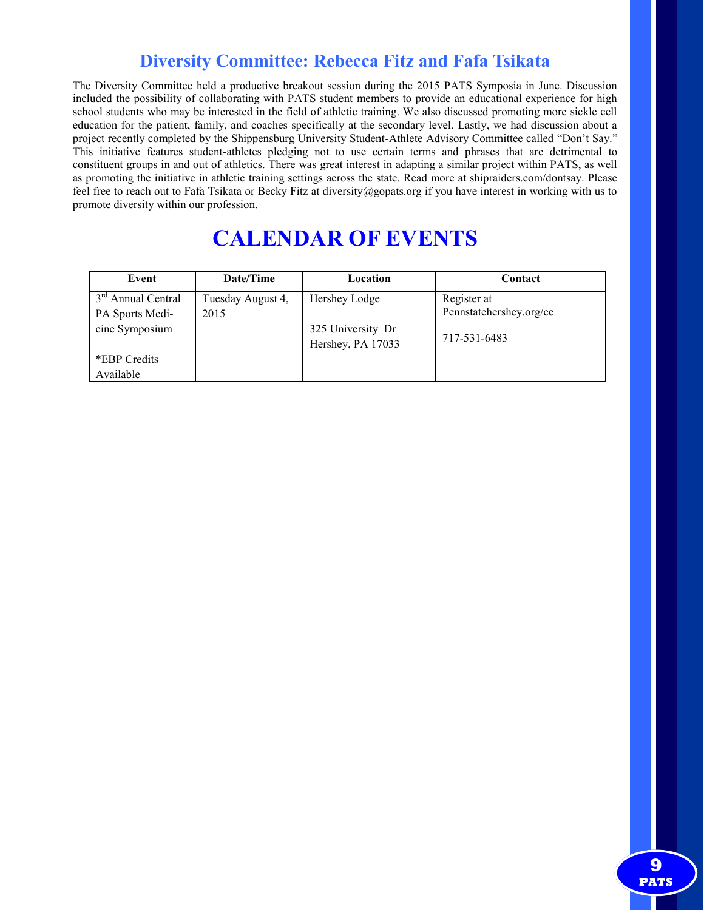## **Diversity Committee: Rebecca Fitz and Fafa Tsikata**

The Diversity Committee held a productive breakout session during the 2015 PATS Symposia in June. Discussion included the possibility of collaborating with PATS student members to provide an educational experience for high school students who may be interested in the field of athletic training. We also discussed promoting more sickle cell education for the patient, family, and coaches specifically at the secondary level. Lastly, we had discussion about a project recently completed by the Shippensburg University Student-Athlete Advisory Committee called "Don't Say." This initiative features student-athletes pledging not to use certain terms and phrases that are detrimental to constituent groups in and out of athletics. There was great interest in adapting a similar project within PATS, as well as promoting the initiative in athletic training settings across the state. Read more at shipraiders.com/dontsay. Please feel free to reach out to Fafa Tsikata or Becky Fitz at diversity@gopats.org if you have interest in working with us to promote diversity within our profession.

# **CALENDAR OF EVENTS**

| Event                          | Date/Time         | Location          | Contact                 |  |
|--------------------------------|-------------------|-------------------|-------------------------|--|
| 3 <sup>rd</sup> Annual Central | Tuesday August 4, | Hershey Lodge     | Register at             |  |
| PA Sports Medi-                | 2015              |                   | Pennstatehershey.org/ce |  |
| cine Symposium                 |                   | 325 University Dr | 717-531-6483            |  |
|                                |                   | Hershey, PA 17033 |                         |  |
| *EBP Credits                   |                   |                   |                         |  |
| Available                      |                   |                   |                         |  |